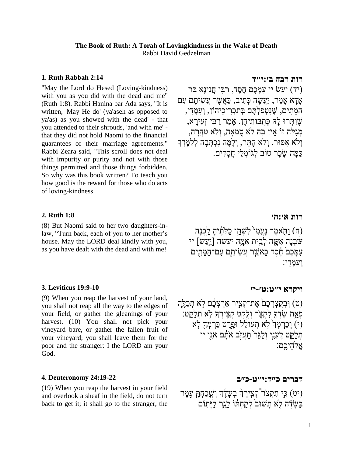## **The Book of Ruth: A Torah of Lovingkindness in the Wake of Death** Rabbi David Gedzelman

### **1. [Ruth Rabbah 2:14](https://www.sefaria.org/Ruth_Rabbah.2.14)**

"May the Lord do Hesed (Loving-kindness) with you as you did with the dead and me" (Ruth 1:8). Rabbi Hanina bar Ada says, "It is written, 'May He do' (ya'aseh as opposed to ya'as) as you showed with the dead' - that you attended to their shrouds, 'and with me' that they did not hold Naomi to the financial guarantees of their marriage agreements." Rabbi Zeara said, "This scroll does not deal with impurity or purity and not with those things permitted and those things forbidden. So why was this book written? To teach you how good is the reward for those who do acts of loving-kindness.

#### **2. [Ruth 1:8](https://www.sefaria.org/Ruth.1.8)**

(8) But Naomi said to her two daughters-inlaw, "Turn back, each of you to her mother's house. May the LORD deal kindly with you, as you have dealt with the dead and with me!

#### **3. [Leviticus 19:9-10](https://www.sefaria.org/Leviticus.19.9-10)**

(9) When you reap the harvest of your land, you shall not reap all the way to the edges of your field, or gather the gleanings of your harvest. (10) You shall not pick your vineyard bare, or gather the fallen fruit of your vineyard; you shall leave them for the poor and the stranger: I the LORD am your God.

#### **4. [Deuteronomy 24:19-22](https://www.sefaria.org/Deuteronomy.24.19-22)**

(19) When you reap the harvest in your field and overlook a sheaf in the field, do not turn back to get it; it shall go to the stranger, the

#### **[רות](https://www.sefaria.org/Ruth_Rabbah.2.14) [רבה](https://www.sefaria.org/Ruth_Rabbah.2.14) [ב׳:י״ד](https://www.sefaria.org/Ruth_Rabbah.2.14)**

יעש יי עַמַּכֶם חֶסֶד, רִבִּי חֲנִינַא בַר) ָאדָּא ָאמַר, יַעֲׂשֶה כְּתִיב, כַאֲשֶר עֲׂשִיתֶם עִם הַמֵּתִים, שֶנִטְּפַלְּתֶם בְּתַכְּרִ יכֵּיהֹון, וְּעִמָּדִי, שֶוִתְּרּו לָּּה כְּתֻבֹותֵּיהֶן. ָאמַר רַ בִי זְּעֵּירָּ א, מְּגִלָּה זֹו אֵּין בָּּה ֹלא טֻמְָּאה, וְֹּלא טָּהֳרָּ ה, וְֹּלא אִּסּור, וְֹּלא הֶתֵּר, וְּלָּמָּה נִכְּתְּבָּה לְּלַמֶדְָּך כַמָּה ׂשָּכָּר טֹוב לְּגֹומְּלֵּי חֲסָּדִים.

#### **[רות](https://www.sefaria.org/Ruth.1.8) [א׳:ח׳](https://www.sefaria.org/Ruth.1.8)**

וּחָאמֶר נָעֲמִי לִשְׁחֵי כַלְּתֶוֹיהָ לֵכְנַה (ח) וַתְּאמֶר נָעֲמִי יי [יעש:  $\lceil$ יעשה  $\rceil$ יעשה ] ווי עִמַּבֵם הֶם כַּאֲשֶׁר **ְעֲשִׂיהֶם עִם־הַמֵּתִים** וְּעִמָּדִ ִֽי׃

## **[ויקרא](https://www.sefaria.org/Leviticus.19.9-10) [י״ט:ט׳-י׳](https://www.sefaria.org/Leviticus.19.9-10)**

ט) וְּבְקֵצְרְכֶם אֶת־קְצִיר אַרְצְבֶם לְּא תְכַלֶּה) ַּפְּאַת שָׂדְךָ לְקָצָ֫ר וְלֵקֶט קְצִירִךְ לְּא תִלַּקֵּט: ימֵרָט כּרְמְךָ (י) וְכַרְמְךָ (יֹא תְעוֹלֹל וּפֵרֵט כּרְמְךָ לֹא ת ַלַּקֵּט לֵעֲנִי וְלַגֶּר הַעֲזָב אֹתָם אֲנֵי יי אֱלהיכֱם:

#### **[דברים](https://www.sefaria.org/Deuteronomy.24.19-22) [כ״ד:י״ט-כ״ב](https://www.sefaria.org/Deuteronomy.24.19-22)**

יט) כִּי תִקְצוֹר קִצְיִרְךָּ בְשֶׂדֵךְ וְשֶׁכַחָתָּ עָמֶר)<br>י בּשֶׂדֶה לְא תַשׁוּב לְקַחֶתו לֹגְר ליַתוֹם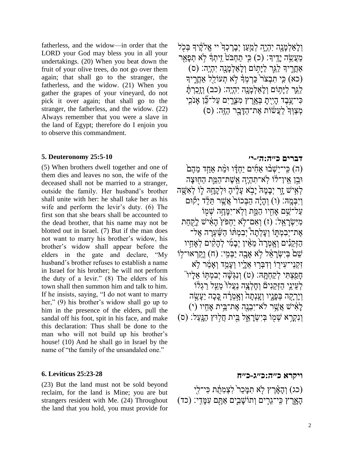fatherless, and the widow—in order that the LORD your God may bless you in all your undertakings. (20) When you beat down the fruit of your olive trees, do not go over them again; that shall go to the stranger, the fatherless, and the widow. (21) When you gather the grapes of your vineyard, do not pick it over again; that shall go to the stranger, the fatherless, and the widow. (22) Always remember that you were a slave in the land of Egypt; therefore do I enjoin you to observe this commandment.

#### **5. [Deuteronomy 25:5-10](https://www.sefaria.org/Deuteronomy.25.5-10)**

(5) When brothers dwell together and one of them dies and leaves no son, the wife of the deceased shall not be married to a stranger, outside the family. Her husband's brother shall unite with her: he shall take her as his wife and perform the levir's duty. (6) The first son that she bears shall be accounted to the dead brother, that his name may not be blotted out in Israel. (7) But if the man does not want to marry his brother's widow, his brother's widow shall appear before the elders in the gate and declare, "My husband's brother refuses to establish a name in Israel for his brother; he will not perform the duty of a levir." (8) The elders of his town shall then summon him and talk to him. If he insists, saying, "I do not want to marry her," (9) his brother's widow shall go up to him in the presence of the elders, pull the sandal off his foot, spit in his face, and make this declaration: Thus shall be done to the man who will not build up his brother's house! (10) And he shall go in Israel by the name of "the family of the unsandaled one."

#### **6. [Leviticus 25:23-28](https://www.sefaria.org/Leviticus.25.23-28)**

(23) But the land must not be sold beyond reclaim, for the land is Mine; you are but strangers resident with Me. (24) Throughout the land that you hold, you must provide for וְלַאלְמֵנָה יִהֶיֶה לְמָעוָ יִבְרָכְדְ<sup>י</sup>יי אֱלֹקֶיִדְּ בְּכָל מַעֲשֶׂה יַדֵּיִךְ׃ (כ) כִּי תַחֲבֹּט ְזֵיתְךָּ לְא תִפְּאָר  $($ ס) אַחֲרִיךָ לַגֵּר לַיַּתְוֹם וְלַאֲלְמָנָה יְהָיֵה:  $($ ס (כא) כִּי תִּבְצֹר ּכֵּרְמְדְּ לְא תְעוֹלֵל אֲחֲרִיךָ לַגֶּר לַיָּתִוֹם וְלָאַלְמָנָה יִהְיֶה: (כב) וְ<u>זִכְ</u>רֹתַּ ַּכִּי־ַעֲבֵד הָיִיָּת ִבְּאֲרֵץ מְצָרֵיִם עַל־כֶּֿן אַנֹכִי ַמְצוְּדָ לְעֲשׁׁוֹת אֶת־הדַּבר הַזֶּה: (ס

# **[דברים](https://www.sefaria.org/Deuteronomy.25.5-10) [כ״ה:ה׳-י׳](https://www.sefaria.org/Deuteronomy.25.5-10)**

(ה) כִּי־יֵשָׁבֿוּ אֲחָים יַחָדָו וּמֶת אַחָד מֶהֶם ּוֵֵּּ֣בן ֵּאִֽין־ֶ֔לֹו ִֹֽלא־ ִת ְּהֶיֶׁ֧ה ֵּאִֽ ֶשת־ ַהֵֶּ֛מת ַהָּׁ֖חּו ָּצה ַּלְאִישׁ זַר יִבָּמַהּ יָבְא עַלֵיהַ וּלְקַחָהּ לֶוֹ לְאָשֵׁה וְיִבְּמֵהּ׃ (ו) וְהָיָה הַבְּכוֹר אֲשֶׁר תֵּלֶּד יַקְּוִּם ַעֲל־ֹּשֶׁם אַחָיו הַמֵּ֑ת וְלְא־יִמֲחֵה שָׁמְוֹ מִיּשָׂרַאֵל: (ז) וְאֲם־לָׂא יַחִפּוֹץ הָאִישׁ לַקְחַת אֶת־יִבְמְתְּוֹ וְעֲלְתַה<sup>ָ</sup> יִבְמְתּוֹ הַשֵּׁעָרָה אֱל־ ְהַזְּקֶנִים וְאָמְרַה מֵאֵין יִבְמִי לְהָקִים לְאֲחֶיו ֿשֵׁם בְּיִשְׂרָאֵל לָא אָבֶה יַבְּמִי: (ח) וְקִרְאוּ־לָוֹ זִקְנִי־עִירְוֹ וְדִבְּרוּ אָלֵיו וְעַמֵד וְאִמֹּר לְא ָּחַפְצָתִּי לְקַחָתֵּה׃ (ט) וְנִגְּשֶׁה יִבְמְתְּוֹ אֱלַיו ´´ ַּלְעִיני הזִּקניםֿ וְחַלְצַה נַעֲלוֹ מִעל רגָלֹוֹ וְיַרְקָה בְּפָּנִיו וְעֵנְתַה וְאֲמְרָ֫ה כֵּכָה יֵעֲשֶׂה (י) יְאִישׁ אֲשֶׁר לֹא־יִבְנָה אֲת־בִּית אַחָיו וִנְקָרָא שִׁמְוֹ בְּיָשָׂרַאֶל בֵּית חֲלִוּץ הַנֵּעֲל: (ס)

## **[ויקרא](https://www.sefaria.org/Leviticus.25.23-28) [כ״ה:כ״ג-כ״ח](https://www.sefaria.org/Leviticus.25.23-28)**

(כג) וְהָאֶרֶץ לְּא תִמֲכֵר ׁלְצָמתָת כּי־לִי ָהָאָרֵץ כִּי־גֵרִים וְתוֹשֶׁבִים אַתְּם עִמָּדִי: (כד)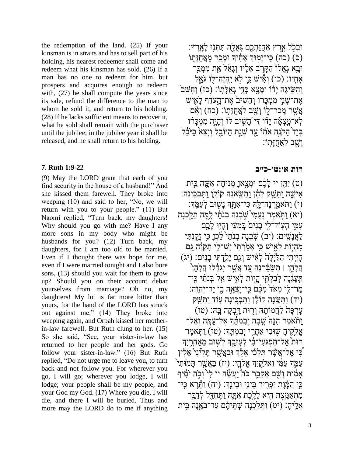the redemption of the land. (25) If your kinsman is in straits and has to sell part of his holding, his nearest redeemer shall come and redeem what his kinsman has sold. (26) If a man has no one to redeem for him, but prospers and acquires enough to redeem with,  $(27)$  he shall compute the years since its sale, refund the difference to the man to whom he sold it, and return to his holding. (28) If he lacks sufficient means to recover it, what he sold shall remain with the purchaser until the jubilee; in the jubilee year it shall be released, and he shall return to his holding.

# **7. [Ruth 1:9-22](https://www.sefaria.org/Ruth.1.9-22)**

(9) May the LORD grant that each of you find security in the house of a husband!" And she kissed them farewell. They broke into weeping (10) and said to her, "No, we will return with you to your people." (11) But Naomi replied, "Turn back, my daughters! Why should you go with me? Have I any more sons in my body who might be husbands for you? (12) Turn back, my daughters, for I am too old to be married. Even if I thought there was hope for me, even if I were married tonight and I also bore sons, (13) should you wait for them to grow up? Should you on their account debar yourselves from marriage? Oh no, my daughters! My lot is far more bitter than yours, for the hand of the LORD has struck out against me." (14) They broke into weeping again, and Orpah kissed her motherin-law farewell. But Ruth clung to her. (15) So she said, "See, your sister-in-law has returned to her people and her gods. Go follow your sister-in-law." (16) But Ruth replied, "Do not urge me to leave you, to turn back and not follow you. For wherever you go, I will go; wherever you lodge, I will lodge; your people shall be my people, and your God my God. (17) Where you die, I will die, and there I will be buried. Thus and more may the LORD do to me if anything

 $\epsilon$ וּבְכָל אֶרֶץ אֶחזַתְכֶם גְּאָלֶה תּתְּנִוּ לְאָרֶץ: (ס) (כה) כִּי־יַמִוּךְ אַחָיִךְ וּמַכַר מֵאֲחזַתִּוֹ ּוָֹּּ֤בא גִֽ ֲאלֹ֙ו ַה ָּקֵּ֣ר ב ֵּא ֶָּ֔ליו ְּוגַָּ֕אל ֵָּּׁ֖את ִמ ְּמַַ֥כר אַחִיו: (כו) וְאִיּשׁ כֵּי לֹא יֶהָיֵה־לִּוֹ גֹּאָל וְהשֹיגֵה יַדֹּוֹ וּמַצַא כְּדִי גְאָלַתְּוֹ: (כז) וְחִשּׁב<sup>י</sup> אֶת־שָׁנֵי מְמְכַרו וְהֵשִׁיב<sup>י</sup> אֶת־הַעֹּדֶף לַאָישׁ  $\hat{\mathbf{x}}$ ְאֲשֶׁר מֵכֲר־לְוֹ וְשָׁב לַאֲחָזָּתוֹ: (כח) וְאָם ַּלְאֹ־מֵצָּאָׁה יַדֹּוֹ דֵּי ְהַשִׁיב לֹוֹ וְהָיֵה מִמְכָּרֹוֹ בְּיַד הַקְּנֶה אֹתוֹ עַד שְׁנַת הַיּוֹבֵל וְיָצָא בַּיּבל ָּוֹשב לְּאֶחָזֶּתוֹ

# **[רות](https://www.sefaria.org/Ruth.1.9-22) [א׳:ט׳-כ״ב](https://www.sefaria.org/Ruth.1.9-22)**

(ט) יתָּן יי לַבֶּם וּמָצֵאוַ מְנוּחָה אַשָּׁה בִּית) אִיֹּשֶׁהּ וַתְּשֵּׁק לָהֶ֫ן וַתְּשֵׂאנָה קוֹלֵן וַתְּבְרֵינַה: וֹ וּת<sup>ַ</sup>אַמְרְנַה־לֵּהְ כּי־אַתֲךְ נַּשִׁוָּּב לְעַמֵּךְ: ) יתְּאמֶר נַעֲמִ<sup>י ָ</sup>שָׂבְנָה בְנוֹתֵי לֵמֵּה תֵלֵכְנַּה) (יא עמֵי הִעֲוֹד־לִי בַנִים בְּמעֵי וְהַיִּוּ לָכֵם לַאֲנַשִׁים: (יִב) שָׁבְנָה בְנֹתַי<sup>י ל</sup>ָבְנָ כִּי זַקְנָתִּי מהָיוֹת לְאִישׁ כִּי אמׂרְתּי<sup>י יֶ</sup>ש־לי תקוֹה גּם ֶהְיִיתִי הַלַּיְּלָה לְאִיּשׁ וְגַם יַלֵדְתִּי בָנֵיִם: (יג) הַלָּהֵן l תְּשַׂבֵּׂרְנַה עֵד אֲשֶׁר יְגִדְּלוּ הַלַּהֶן הַעֲגֶּנֵה לְּבִלְתִּי הֵיִוֹת לְאִישׁ אֲל בְּנֹתֵ֫י כִּי־ ַמְר־לִי מְאֹד מְבֶּ֫ם כִּי־יַַצְאָה בִי יַד־יִהְוֶה: יִד) וַתְּשֶׂנָה קוֹלָן וַתְּבְכֶּינָה עֲוֹד וַתְּשַׁק עַרְפָּהֹ לַחֲמוֹתָׂהּ וְרִוּּת דֵּבְקַה בֵּהּ׃ (טו) וַתּׁאמֶר הַנֵּה שֲׁבַה יִבְמְתֵּ֫דְ אֱל־עַמֵּה וְאֵל־ **אֱלֶֹקֶיהָ שִׁוּּבִי אַחֲרִי יְבִמְּתֵּךְ: (טז) וַתְּאמֶר** רּוּת אַל־תְּפִגָּעִי־בְׂי לְעַזְבֵךְ לַיְשִׁוּּב מֵאֲחֲרָיִךְ כִּי אֱל־אֲשֶׁר תֵּלְלִי אֶלֶֽׁדְּ וּבַאֱשֶׁר תַּלְיּנָי *א*ֲלִין ַ<br>עַמֵּד עַמִּ֫י וַאלַקִיִךְ אֱלֹהָי: (יז) בַּאֲשֶׁר תָּמֹוּתִי אַמּׁוּת וְשֵׁם אֱקֵּבֶר כֹּה יַעֲשֶׂה יי לִי וְכָה יֹסִו*ּ*ף ַּכִּי הַמֶּׁוֶת יַפְרִיד בֵּינִי וּבֵינֵ֣ךָ׃ (יח) וַחֱרֵא כִּי־ מְתָאֲמֵצֶת הָיא לַלֵּכֶת אָתָּהּ וַתֵּחָדֶּל לְדַַבֵּ֣ר  $\kappa$ אֶלִיהָ: (יט) ותּלֵכְנַה שָׁתּיהֶם עד־בֹּאַנַה בִּית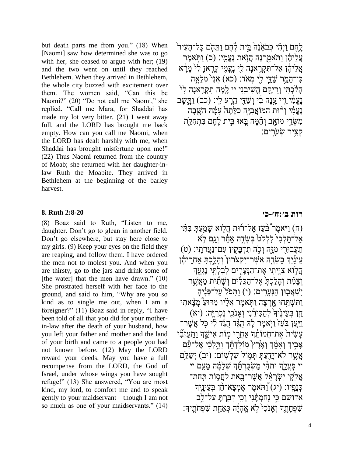but death parts me from you." (18) When [Naomi] saw how determined she was to go with her, she ceased to argue with her; (19) and the two went on until they reached Bethlehem. When they arrived in Bethlehem, the whole city buzzed with excitement over them. The women said, "Can this be Naomi?" (20) "Do not call me Naomi," she replied. "Call me Mara, for Shaddai has made my lot very bitter. (21) I went away full, and the LORD has brought me back empty. How can you call me Naomi, when the LORD has dealt harshly with me, when Shaddai has brought misfortune upon me!" (22) Thus Naomi returned from the country of Moab; she returned with her daughter-inlaw Ruth the Moabite. They arrived in Bethlehem at the beginning of the barley harvest.

## **8. [Ruth 2:8-20](https://www.sefaria.org/Ruth.2.8-20)**

(8) Boaz said to Ruth, "Listen to me, daughter. Don't go to glean in another field. Don't go elsewhere, but stay here close to my girls. (9) Keep your eyes on the field they are reaping, and follow them. I have ordered the men not to molest you. And when you are thirsty, go to the jars and drink some of [the water] that the men have drawn." (10) She prostrated herself with her face to the ground, and said to him, "Why are you so kind as to single me out, when I am a foreigner?" (11) Boaz said in reply, "I have been told of all that you did for your motherin-law after the death of your husband, how you left your father and mother and the land of your birth and came to a people you had not known before. (12) May the LORD reward your deeds. May you have a full recompense from the LORD, the God of Israel, under whose wings you have sought refuge!" (13) She answered, "You are most kind, my lord, to comfort me and to speak gently to your maidservant—though I am not so much as one of your maidservants." (14) ָלְחֶם ויְהִי כְּבֹאֲנָה בִּית לֶחֶם ותּהָם כַּל־הַעִיר ַעֲלֵיהֶן וַתּׂאמֲרִנָּה הֲזָאת נַעֲמִי: (כ) וַתִּאמֵר אֲלֵיהֶׂן אַל־תִּקְרָאנָה לֻי נָעֲמֶי קְרָאנָ לִ<sup>לְ</sup> מָּרָ<del>ּ</del>א כִּי־הַמַר שַׁדֵּי לִי מְאֹד: (כא) אֲנִי מְלֵאֲה ָהָלַּכְתִּי וְרֵיַקֶם הֱשִׁיבֵנִי יי לֻמֶּה תִקְרָאנָה לְ<sup>גֹּ</sup> נַעֲמִ֫י וַיִּי עֲנָה בְו וִשַׁדֵּי הֵרְעֹ לִי: (כב) וַחֲשָׁב נַעֲמִ֫י וְרִ֫וּת הַמּוֹ<u>אֲבְיֶ</u>ה כַלַּתַהּ עָמֶּהּ הַשֲּׁבַה מְשֶׂדֵי מוֹאֲב וְהֵמָּה בָּאוּ בֵּיִת לֵחֵם בְּתִחְלַּת ָקְצִיר שָׂעָׂרִים:

## **[רות](https://www.sefaria.org/Ruth.2.8-20) [ב׳:ח׳-כ׳](https://www.sefaria.org/Ruth.2.8-20)**

יאמר $\hat{\epsilon}$ בֹּעז אל־רוּת הלוֹא שמעת בּתִּ֫י (ה  $\lambda$ ל־תֵּלְכִי יִלְלְקֹט בְּשֵׂדֶה אֲחֶר וְגֵם לְּא ַתֲעבּוִָּׁ֖רי ִמֶָּ֑זה ְּוַ֥כ ה ִת ְּד ָּבִָּׁ֖קין ִעם־נֲַער ָּתִֽי׃ )ט( ַעֵּינַיְךָ בַּשֶׂדֶה אֲשֶׁר־יִקְצֹרוּן וְהָלֵכְתְּ אָחֲרִיהֶן ְהַלְּוֹא צְוֵּיתִי אֶת־הַנְּעֲרִים לְבְלְתֵּי נַגְעֵֽךְ וְצָמִ֫ת וְהָלַכְתְּ אֱל־הַכֵּלִים וְשָׁתֵ֣ית מֲאֱשֶׁר יְשָׁאֲבְוּן הַנְעֲרִים: (י) וַתְּפֹּל<sup>י</sup>עֲל־פַּנֶיהָ וַתְּשָׁתַּחוּ אֲרַצַה וַתְּאמֶר אֶלַיו מַדּוּעַ מַּצָּאתִי ָהֶן בְּעֵינֵ<sup>י</sup>דְ לְהַכִּירֵנִי וְאֲנֹכִי נַכְרַיֵּה׃ (יא) ויִּעַן בּעׁז<sup>י</sup> ויֹאמֵר לֵ<sup>וָ</sup>ה הָגָּד הָגד לִי כִּל אֲשֶׁר־ ַעֲשִׂית אֶת־חֲמוֹתֶד אָחֲרִי מִוֹת אִישֶׁד וַתֲעַזְבִ<u>ֿ</u>י ָאֲביִךְ וְא<sup>ָ</sup>מֹךְ וְאֵיֲרָץ מְוֹלדָתְּךְ וִתְּלְכִי אֱל־עַם  $\gamma$ אַשר לֹא־יִדְעַתְּ תִּמוֹל שׁלְשׁוֹם: (יִב) יְשַׁלִַּם יי פַּעֲלָךְ וּתָהִ<sup>ָּ</sup>י מִשְׂכַרְתְּדְ שָׁלֹמֵ֫ה מעָם יי הָתָּת יִשְׂרַאָ*ּל ְּאֲשֶׁר־ַבֵּּאת לַחֲסִוֹת תַּחַת־* רָּנֵמִ<sup>ּ</sup>יו: (יג) וַתּאמֶר אֶמְצָא־הָן בְּעֵיְנֶיִךְ אדושם כִּי נִחַמְתָּ֫נִי וְרָי דְבַרְתָּ עַל־לֵב ְשׁפְחַתֵךְ וְאנכי לֹא אֱהֶיֶּה כָּאַחָת שִׁפְחֹתֵיךָ: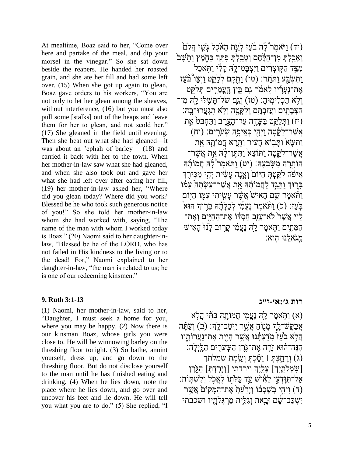At mealtime, Boaz said to her, "Come over here and partake of the meal, and dip your morsel in the vinegar." So she sat down beside the reapers. He handed her roasted grain, and she ate her fill and had some left over. (15) When she got up again to glean, Boaz gave orders to his workers, "You are not only to let her glean among the sheaves, without interference, (16) but you must also pull some [stalks] out of the heaps and leave them for her to glean, and not scold her." (17) She gleaned in the field until evening. Then she beat out what she had gleaned—it was about an 'ephah of barley— (18) and carried it back with her to the town. When her mother-in-law saw what she had gleaned, and when she also took out and gave her what she had left over after eating her fill, (19) her mother-in-law asked her, "Where did you glean today? Where did you work? Blessed be he who took such generous notice of you!" So she told her mother-in-law whom she had worked with, saying, "The name of the man with whom I worked today is Boaz." (20) Naomi said to her daughter-inlaw, "Blessed be he of the LORD, who has not failed in His kindness to the living or to the dead! For," Naomi explained to her daughter-in-law, "the man is related to us; he is one of our redeeming kinsmen."

## **9. [Ruth 3:1-13](https://www.sefaria.org/Ruth.3.1-13)**

(1) Naomi, her mother-in-law, said to her, "Daughter, I must seek a home for you, where you may be happy. (2) Now there is our kinsman Boaz, whose girls you were close to. He will be winnowing barley on the threshing floor tonight. (3) So bathe, anoint yourself, dress up, and go down to the threshing floor. But do not disclose yourself to the man until he has finished eating and drinking. (4) When he lies down, note the place where he lies down, and go over and uncover his feet and lie down. He will tell you what you are to do." (5) She replied, "I

 $\mathrm{F}(\tau)$  ויֹאמֵר $\mathrm{F}^\circ$ ה בֹׁעז לְעַת הַאֹכֵל גִּשִׁי הֲלֹם וְאָבְלְתְּ מְו־הַלֶּהֶם וְטָבְלְתְּ פִּתֵּֽךְ ּבַּתֶוֹמֶץ וַתֵּישֶׁב מִצֵּד הַקְּוֹצְרִים וַיִּצְבַּט־לֵהּ קַלְי וַתְּאכַל וַתְּשָׁבְּע וַתֹּתֵר: (טו) וַתַּקַם לְלַקֵּט וַיִּצַו בַּעַז  $\alpha$ אַת־נְעֲרִיו לֹאמֹר גם בִּין הֲעֲמַרֵים תְּלֹקּ וְלָא תַכְלִימְוּהָ: (טז) וְגָם שֹׁל־תַּשְׁלוּ לָהְ מִן־ ְהַצִּבָּתִים וַעֲזַבְתֵּֽם וְלִִּקְטָה וְלָא תְגִעֲרוּ־בָהּ יז) וַתְּלַקֵט בַּשֶּׂדֶה עַד־הָעָרב וַתַּחִב<sup>ָּ</sup>ט אֵת)  $\dot{\psi}$ אֲשֶׁר־לְקֵּטָה וַיְּהָי כְּאֵיִפָה שְׁעַרִים: (יח) ותּשׂא ותּבוֹא העיר ותּרָא חמוֹתה את אֲשֶׁר־לִקְטַה ותּוֹצא ותּתֵּן־לָה אָת אֲשֶׁר־ הוֹתְרָה מִשַּׂבְעֵה: (יט) ותֹּאמֶר צָּה חֲמוֹתַ*וּ*ה איִפֿה לִקַּטְתְּ הִיּוֹם<sup>ְ</sup> וְאנה עַשִׂית יְהָי מכּירִךְ ַּבְרִוּדְ וִתִּגָּד לְחֲמוֹתָנָּה אֶת אֱשֶׁר־עֲשָׂתַה עַמּוֹ וַתּֿאמֶר שֵׁם הַאִישׁ אֲשֶׁר עַשִׂיתִי עִמֶּוֹ הַיִּוֹם ַבֹּעז: (כ) ותּתֹאמר נעמי לכלִתה בּרוּדְּ הוּא ַליי אַשֶׁר ׁלֹא־עזֶב חִסְדֹּו אֶת־הַחִייִם וְאֶת־ הַמֱתֵים וַתְּאמֵר לֵהְ נַעֲמִ֫י קַרוֹב לַּנּוּ הַאֹישׁ ִמִֽג ֲאֵָּּׁ֖לנּו ִֽהּוא׃

# **[רות](https://www.sefaria.org/Ruth.3.1-13) [ג׳:א׳-י״ג](https://www.sefaria.org/Ruth.3.1-13)**

(א) וַתְּאמֶר לָהְ נַעֲמִי חֲמוֹתָהּ בִּתֵּי הַלְּא  $\frac{1}{2}$ ַבַּקֶּשׁ־לֶךְ מָּנִוֹּחַ אֲשֶׁר יִיטֲב־לֵךְ׃ (ב) וְעַתּה הַלְא בֹּעֲז מְדַעִתּׂנוּ אֲשֶׁר הַיִיִּת אֶת־נַעֲרוֹתֵיו הְנֵּה־הוֹא זֶרֶה אֱת־גְּרֶן הַשָּׂעֹרִים הַלֵּיִלָּה: (ג) וְרַחֲצָהָ l וַסָּׁכָהְּ וְשֲׂמָהְ שמלתך)  $\left[ \psi \right]$  הָגְּרֵךְ $\left[ \psi \right]$ עֲלֵיִךְ וירדתי  $\left[ \psi \right]$ ַאֲל־תְּוָּדְעִי לָאִישׁ עַד כַּלֹּתוֹ לָאֱכָל וְלִשְׁתְּוֹת: ר) וִיהִי בְשָׁכְבֹוֹ וְיָדַ<sup>י</sup>עַתְּ אֶת־הַמָּקוֹם אֲשֵׁר) יִשְׁכַּב־שַׁם וּבֵאת וְגִלִּית מֲרִגְּלוַתְיו ושכבתי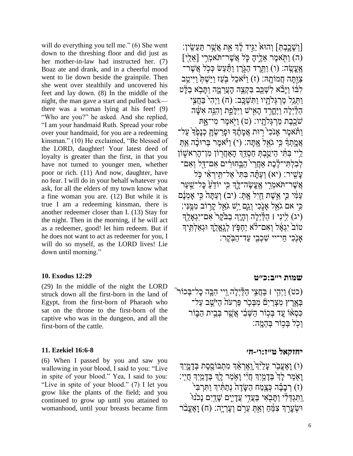will do everything you tell me." (6) She went down to the threshing floor and did just as her mother-in-law had instructed her. (7) Boaz ate and drank, and in a cheerful mood went to lie down beside the grainpile. Then she went over stealthily and uncovered his feet and lay down. (8) In the middle of the night, the man gave a start and pulled back there was a woman lying at his feet! (9) "Who are you?" he asked. And she replied, "I am your handmaid Ruth. Spread your robe over your handmaid, for you are a redeeming kinsman." (10) He exclaimed, "Be blessed of the LORD, daughter! Your latest deed of loyalty is greater than the first, in that you have not turned to younger men, whether poor or rich. (11) And now, daughter, have no fear. I will do in your behalf whatever you ask, for all the elders of my town know what a fine woman you are. (12) But while it is true I am a redeeming kinsman, there is another redeemer closer than I. (13) Stay for the night. Then in the morning, if he will act as a redeemer, good! let him redeem. But if he does not want to act as redeemer for you, I will do so myself, as the LORD lives! Lie down until morning."

#### **10. [Exodus 12:29](https://www.sefaria.org/Exodus.12.29)**

(29) In the middle of the night the LORD struck down all the first-born in the land of Egypt, from the first-born of Pharaoh who sat on the throne to the first-born of the captive who was in the dungeon, and all the first-born of the cattle.

#### **11. [Ezekiel 16:6-8](https://www.sefaria.org/Ezekiel.16.6-8)**

(6) When I passed by you and saw you wallowing in your blood, I said to you: "Live in spite of your blood." Yea, I said to you: "Live in spite of your blood." (7) I let you grow like the plants of the field; and you continued to grow up until you attained to womanhood, until your breasts became firm

[וְשַׁכֵּבְתֵּ] וְהוּא יגִיד לָ<sup>וְ</sup>דָּ אֶת אֲשֶׁר תּעשִׂין: ה) וַתְּאמֶר אֲלֵיהַ כֵּלְ אֲשֶׁר־תֹּאמֶרִי [אֲלֵי] ר: (ו) וַתֲרֵד הַגְּרֵן וַתֲּעַשׂ כִּכְל אֲשֶׁר־ צְוָּתָּה חֲמוֹתָ<sup>ֶ</sup>ה׃ (ז) וַ<sup>3</sup>ֹּאכַל ּבְּעַז וַיֵּשׁתָּ וַיִּיטַב לֹבּוֹ ויַּבֹּ̈א לִשָּׁכַב בַּקָצה הַעֲרמֵה ותַּבֹא בלָּט וַתְּגַל מַרְגִּלְתָיו וַתְּשָׁבֵּב: (ח) וַיְהָי ּבַחֲצִי הַלַּיִלַּה וַיֵּחֲרִד הַאִישׁ וַיִּלַּפֵת וְהִנֵּה אִשֶּׁה שֹׁכֵבֶת מַרְגִּלְהַיו: (ט) וַיְּאמֶר מִי־ַאָתּ וַתּׁאמֶר אֲנֹכִי רִוּת אֲמַתֶैד וּפַרַשָׂתַּ כְנַכֵּהְ עַל־  $\alpha$ מֲתְדָּ כִּי גֹאֶל אֲתֲה: (י) וַיֹּאמֶר בְּרוּכָ $\alpha$  אֶתְ ַלִּיי ִבְּתִּי הֵיַטֲבְהְּ חַסְדֵּךְ הָאַחֲרוֹן מִן־הָרָאשֶׁוֹן ַלְבַלְתִּי־לֶֽבֶת אַחֲרי הַבְּחוּרִים אַם־דָּל וְאַם־ ָעַשִׁיר: (יא) וְעַתּה בַּתּי אל־תּיראי כּל אַשֶר־תֹּאמְרִי אֲעֵשׂה־לֵּךְ כִּי יוֹדֵ<sup>ּ</sup>עֲ כַּל־שַׁעַר ַעֲמִי כִּי אֲשֶׁת חַיִל אָתְּ: (יב) וְעַתָּה כִּי אָמְנָּם ָּכִּי אם גֹאָל אַנְבִי וְגֵם יֵּשׁ גֹּאֵל קַרוֹב מְמֵֵנִּי: יגאַלֵּה (ג) יִלְינִי | הַלַּיְלָה וְהָיָה בַב<sup>ּ</sup>קֵר<sup>י</sup> אָם־יִגְאַלֵּ טוֹב<sup>י</sup> יִגְאָל וְאָם־לֹא יַחְפָּץ לְגְאֲלֶךָ וּגְאַלְתִּֽיךָ ֿאֲנֻ<sup>ֹּכִי</sup> חַי־יי שָׁכְבִי עַד־הַבְּקֵר:

#### **[שמות](https://www.sefaria.org/Exodus.12.29) [י״ב:כ״ט](https://www.sefaria.org/Exodus.12.29)**

(כט) וַיְּהִי I בַּחֲצִי הַלַּיְלָה וַיי הָבָּה כָל־בְּכוֹר $\,$ ּבְאֶרֶץ מִצְרַיִם מִבְּכִר פַּרְעֹה הַיֹּּשֵׁב עַל־ כְּסָאוֹ עֵד בְּכִוֹר הַשָּׁבִי אֲשֶׁר בְּבֵית הַבְּוֹר וְכֹל בּכוֹר בַּהְמַהָ

### **[יחזקאל](https://www.sefaria.org/Ezekiel.16.6-8) [ט״ז:ו׳-ח׳](https://www.sefaria.org/Ezekiel.16.6-8)**

(ו) וַאֲעֱבָר עַלַ<sup>י</sup>ַּוְ יַוְאֵרְאֶד מְתִבּוֹסִסֶת בְּדָמֶיְךָ **וְאָמַר לָדְ ּבְדָמִיִךְ חֲיִי וָאָמַר לֻךְ בְּדָמַיִךְ חֲיִי:** ์י) רִבָּבָ֫ה כְּצֶמַּח הַשֶּׂדֶה נְתַתְּ֫יךְ וַתִּרְבִּי  $\vec{\rm n}$ ַוְתִּגְדְּלִ<sup>ּ</sup>י וַתָּבְאִי בַּעֲדִי עֲדָיִיִם שָׁדַיִם נָכ<sup>ו</sup>נוּ ּו ְּׂש ָּעֵֵּּ֣רְך ִצ ֵֶּ֔מ ַח ְּוַָּׁ֖א ְּת ֵּעַ֥ר ם ְּו ֶע ְּרָּיִֽה׃ )ח( ָּו ֶאֱעָ֨ב ר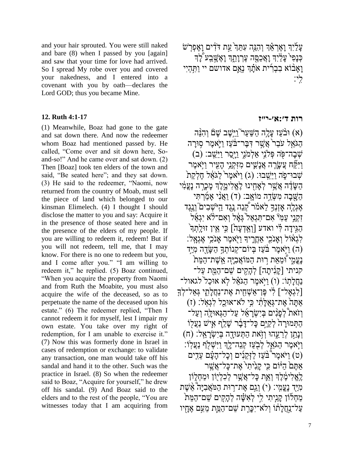and your hair sprouted. You were still naked and bare (8) when I passed by you [again] and saw that your time for love had arrived. So I spread My robe over you and covered your nakedness, and I entered into a covenant with you by oath—declares the Lord GOD; thus you became Mine.

## **12. [Ruth 4:1-17](https://www.sefaria.org/Ruth.4.1-17)**

(1) Meanwhile, Boaz had gone to the gate and sat down there. And now the redeemer whom Boaz had mentioned passed by. He called, "Come over and sit down here, Soand-so!" And he came over and sat down. (2) Then [Boaz] took ten elders of the town and said, "Be seated here"; and they sat down. (3) He said to the redeemer, "Naomi, now returned from the country of Moab, must sell the piece of land which belonged to our kinsman Elimelech. (4) I thought I should disclose the matter to you and say: Acquire it in the presence of those seated here and in the presence of the elders of my people. If you are willing to redeem it, redeem! But if you will not redeem, tell me, that I may know. For there is no one to redeem but you, and I come after you." "I am willing to redeem it," he replied. (5) Boaz continued, "When you acquire the property from Naomi and from Ruth the Moabite, you must also acquire the wife of the deceased, so as to perpetuate the name of the deceased upon his estate." (6) The redeemer replied, "Then I cannot redeem it for myself, lest I impair my own estate. You take over my right of redemption, for I am unable to exercise it." (7) Now this was formerly done in Israel in cases of redemption or exchange: to validate any transaction, one man would take off his sandal and hand it to the other. Such was the practice in Israel. (8) So when the redeemer said to Boaz, "Acquire for yourself," he drew off his sandal. (9) And Boaz said to the elders and to the rest of the people, "You are witnesses today that I am acquiring from

7

ָּעֲלֹיָךְ וָאֶרְאֶ**ּ**ךְ וְהָגָּה עְתֵּךְ עֵׁת דֹּדִים וָאֶפְרָשׁ ְּכְּנָפִי עָלַיְךָ וָאֲכָסֵה עֵרְוָתֵךְ וָאֵשֶׁבָע לָיִ וַאֲבֿוֹא בְבְרִית אֹתָ֫ךְ נְאֱם אדושם יי וַתְּהִיִי לִ ִֽי׃

# **[רות](https://www.sefaria.org/Ruth.4.1-17) [ד׳:א׳-י״ז](https://www.sefaria.org/Ruth.4.1-17)**

ה(א) וּבֹעז עַלַה הַשׁער ויּשֶׁב שַׁם וַהִּנֵּה (א הגֹאל עבר אֱשֶׁר דִּבֵּר־בֹּעז ויַאמֶר סִוּרָה יִּשְָׁב: (ב) אֶבְה־פָּׂה פְּלִנְי אַלְמֹגֵי וַיָּסֵר וַיֵּּשֳב: ויּקוו עֲשַׂרָה אֲנַשִׁים מזִקְנִי הַעִיר ויִּאמֶר עֲבוּ־כָּה וַיֵּשֵׁבוּ: (ג) וַיֹּאמֶר לַגֹּאֶל חֶלְקַת הַשֲׂדֶּה אֲשֶׁר לְאַחִינוּ לָאֱלִימֱלֶךְ מָכְרָה נָעֲמִֽי הַשֲּׁבָה מְשָׂדֶה מוֹאֵב: (ד) וַאֲנִי אַמַרתִּי  $\gamma$ אֶגְלֶה אזְנִֽדְּ לֹאמֹׂר קְנִה ְנְגֶד הִיּשָׁבים ְוָנְגֶד זִקְנֵי עַמְ*ּיֹ אָם־הַגְא*ָל<sup>י</sup> גָּאֵל וְאָם־לֹא יְגְאַל הגיִּדָה לִּי ואדע [וְאִדְעֲה] כּי אִין זוּלַתְךָ ַיְגְּאוֹל וְאֲנֹכִי אֲחֱרֶיךָ וַיְּאמֶר אֲנֹכִי אֱגְּאָל: ה) וַיִּאמֶר בֹּעַז בְּיוֹם־קִנוֹתְךָּ הַשֲׂדֶה מְיַּד) נַעֲמִי וְּמֵאֵת רִוּת הַמּוֹאֲבִיַּה אֲשֶׁת־הַמֶּת קניתי [קַנִֿיתַה] לְהַקִים שׁם־המֵּת על־ נַחֲלָתְוֹ: (ו) וַיְּאמֶר הַגֹּאֵ֫ל לְאׁ אוּכַל לגאול־  $[$ לֹגְאל־] לֹי פֵּן־אשָׁחִית אֱת־נַחֲלַתִי גָּאל־לְדְּ ָאתּה אָת־גָּא וֹלוֹי כִּי לֹא־אוּכל לגָאל: (ז) וַ וֹאת לְפָנָים בִּיְשָׂרָאֵ*ּ*ל עַל־הַגָּאוּלֵה וְעַל־ התִּמוּרַה לְקִיָּּם כַּל־דַּבָּ֫ר שַׁלִ**ְף א**ָישׁ נַעֲלִוֹ  $(n)$  יִנְּתַן לְרֵעֱהוּ וְזָאת הַתְּעוְּדֶה בְּיִשְׂרָאֱל: (ח וִיֹּאמֶר הגֹּאָל לְבְעז קִנְה־לָךְ ויּשָׁלְף נַעֲלְוֹ: ט) וַיֹּאמֶר ּבֹּעֲז לַזְּקֵנִים וְכָל־הָעָּ֫ם עֲדֵים)<br> אַתֵּם הִיּּׂוֹם כִּי קַנִיתי אֱת־כַּל־אֱשֶׁר לֶאֱלִימֶ֫לֵ**֣דְ וְאֶת כַּל־אֲשֶׁר לְכָלְי**ּ֑וֹן וּמֲחָלְוֹן כְּיַּיָּד נָעֲמִֽי: (י) וְגַם אֶת־רִוּת הַמֹּאֲבִיָּה ֹאֲשֶׁת  $\alpha$ מַחְלֹוֹן קָנִיתִי לִי לְאִשָּׁה לְהָקִים שֵׁם־הַמֵּת ַעל־נַחֲלַתו וְלֹא־יכֵּרֶת שׁם־המֵת מעָם אֱחָיו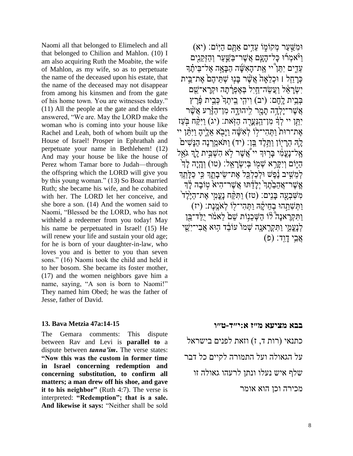Naomi all that belonged to Elimelech and all that belonged to Chilion and Mahlon. (10) I am also acquiring Ruth the Moabite, the wife of Mahlon, as my wife, so as to perpetuate the name of the deceased upon his estate, that the name of the deceased may not disappear from among his kinsmen and from the gate of his home town. You are witnesses today." (11) All the people at the gate and the elders answered, "We are. May the LORD make the woman who is coming into your house like Rachel and Leah, both of whom built up the House of Israel! Prosper in Ephrathah and perpetuate your name in Bethlehem! (12) And may your house be like the house of Perez whom Tamar bore to Judah—through the offspring which the LORD will give you by this young woman." (13) So Boaz married Ruth; she became his wife, and he cohabited with her. The LORD let her conceive, and she bore a son. (14) And the women said to Naomi, "Blessed be the LORD, who has not withheld a redeemer from you today! May his name be perpetuated in Israel! (15) He will renew your life and sustain your old age; for he is born of your daughter-in-law, who loves you and is better to you than seven sons." (16) Naomi took the child and held it to her bosom. She became its foster mother, (17) and the women neighbors gave him a name, saying, "A son is born to Naomi!" They named him Obed; he was the father of Jesse, father of David.

## **13. [Bava Metzia 47a:14-15](https://www.sefaria.org/Bava_Metzia.47a.14-15)**

The Gemara comments: This dispute between Rav and Levi is **parallel to** a dispute between *tanna'im***.** The verse states: **"Now this was the custom in former time in Israel concerning redemption and concerning substitution, to confirm all matters; a man drew off his shoe, and gave it to his neighbor"** (Ruth 4:7). The verse is interpreted: **"Redemption"; that is a sale. And likewise it says:** "Neither shall be sold

וּמֹשֵׁער מְקוֹמָוֹ עִדִים אַתֲּם היִיֹּם: (יא) ויאמרו כל־העם אַשר־בּשער וְהזִקנים עֵדֵים יִתֵּן יי אֱת־הָאִשֶּׁה הַבָּאָה אֱל־בֵּיהֶ֫דִּ  $\epsilon$ כָּרְהל | וּכָלְאָה אֲשֶׁר בֵּנוּ שָׁתִּיהֶם אֱת־בִּית יִשְׂרָאֵל וַעֲשֶׂה־חֵיל בִּאֲפְרָּׂתַה וּקִרַּא־ַשֵׁם בְּבֵית לָחֶם: (יִב) וִיהָי בֵיתְךָ ּבְּבִית פֶּ֫רֶץ  $\dot{y}$ ָאֲשֶׁר־יַלְדֶה תַמֲר לִיהוּדֶה מְן־הָזֶּרַע אֲשֶׁר יְתֵּן יי לְדָּ מִן־הַנַּעֲרָה הַזְאת: (יג) וַיִּקַּׁח בְּעַז אֶת־רוּת וַתְּהִי־לִוֹ לְאִשָּׁה וַיָּבְא אֱלֶיהָ וַיִּתֲן יי לֵהּ הֶרִיוֹן וַחֲלֵד בֵּן: (יד) וַתּאֹמֵרְנָה הַנַּשִׁים  $\gamma$ אָל־נַעֲמִ֫י בַּרִוּךְ יי $\gamma$ אֱשֶׁר לְא הָשִׁבִּית לֵהְ גֹּאֵל ָהַיִּוֹם וְיִקֵּרָא שִׁמְוֹ בְּיִשְׂרַאֵּֽל: (טו) וְהָיַה לַדְּ ַלְמֹשִׁיב נֶ֫פָּשׁ וּלְכלִכּל אֱת־שֹׂיבתִדְּ כִּי כִלְּתְדְ אֲשֶר־אֲהֵבַׂהֶדְ יְלָדַתוּ אֲשֶר־הִיא ִטוֹבַה לַּדְ ְמְשָׁבְעַה בַּנִים: (טז) וַתְּקָּח נַעֲמֶי אֱת־הָיֶּלֶד וּתְּשׁתְהוּ בְחִיקָה וּתְּהי־לִוֹ לְאֹמֵנֶת: (יז) וַתְּקָרָאנָה לֹוֹ הַשָּׁכֵנוֹת שֵׁם לֵאמֹר יִלַּד־בֵּן לְנַעֲמִי וַתְּקָרָא**ָנָה שִׁמוֹ עוֹבֶד הִוּא אֲבִי־יְשִׁי**  $($ פַּרְ דַוְד׃ (פ

## **בבא מציעא מ״ז א:י״ד-ט״ו**

כתנאי (רות ד, ז) וזאת לפנים בישראל על הגאולה ועל התמורה לקיים כל דבר שלף איש נעלו ונתן לרעהו גאולה זו מכירה וכן הוא אומר